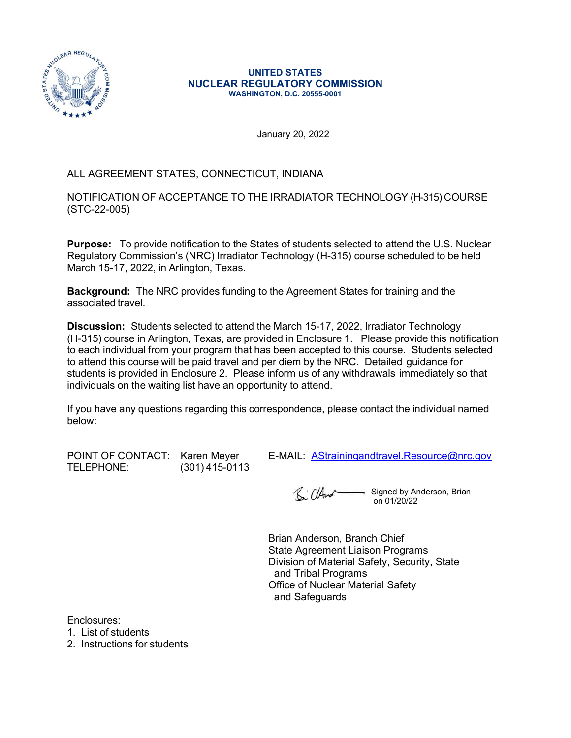

#### UNITED STATES NUCLEAR REGULATORY COMMISSION WASHINGTON, D.C. 20555-0001

January 20, 2022

# ALL AGREEMENT STATES, CONNECTICUT, INDIANA

NOTIFICATION OF ACCEPTANCE TO THE IRRADIATOR TECHNOLOGY (H-315) COURSE (STC-22-005)

Purpose: To provide notification to the States of students selected to attend the U.S. Nuclear Regulatory Commission's (NRC) Irradiator Technology (H-315) course scheduled to be held March 15-17, 2022, in Arlington, Texas.

Background: The NRC provides funding to the Agreement States for training and the associated travel.

Discussion: Students selected to attend the March 15-17, 2022, Irradiator Technology (H-315) course in Arlington, Texas, are provided in Enclosure 1. Please provide this notification to each individual from your program that has been accepted to this course. Students selected January 20, 2022<br>
ALL AGREEMENT STATES, CONNECTICUT, INDIANA<br>
NOTIFICATION OF ACCEPTANCE TO THE IRRADIATOR TECHNOLOGY (H-315) COURSE<br>
(STC-22-005)<br>
Purpose: To provide notification to the States of students selected to att January 20, 2022<br>
ALL AGREEMENT STATES, CONNECTICUT, INDIANA<br>
NOTIFICATION OF ACCEPTANCE TO THE IRRADIATOR TECHNOLOGY (H-315) COURSE<br>
Repulatory Commission's (NRC) Irradiator Technology (H-315) course scheduled to be held<br> individuals on the waiting list have an opportunity to attend. **Purpose:** To provide notification to the States of students selected to attend the U.S. Nuclear<br>Regulatory Commission's (NRC) Irradiator Technology (H-315) course scheduled to be held<br>March 15-17, 2022, in Arlington, Tex

If you have any questions regarding this correspondence, please contact the individual named below:

TELEPHONE: (301) 415-0113

Signed by Anderson, Brian on 01/20/22

Brian Anderson, Branch Chief State Agreement Liaison Programs Division of Material Safety, Security, State and Tribal Programs Office of Nuclear Material Safety and Safeguards

Enclosures:

1. List of students

2. Instructions for students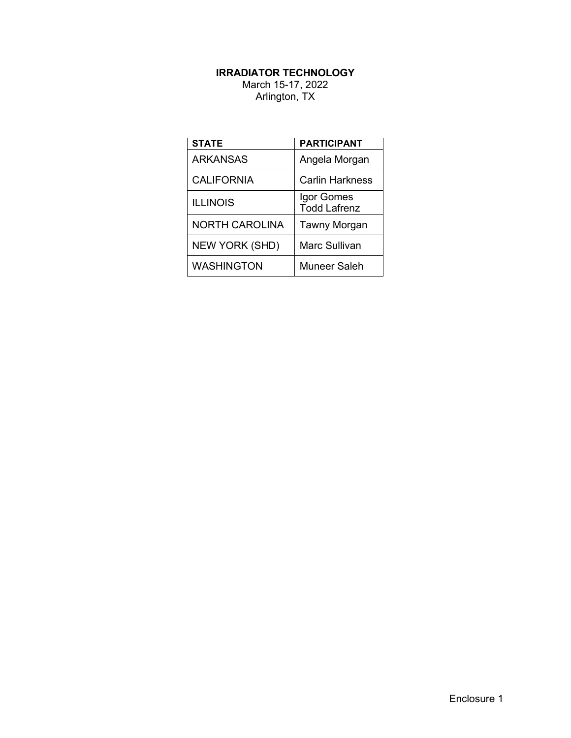# IRRADIATOR TECHNOLOGY

| <b>IRRADIATOR TECHNOLOGY</b><br>March 15-17, 2022 |                                     |
|---------------------------------------------------|-------------------------------------|
| Arlington, TX                                     |                                     |
|                                                   |                                     |
|                                                   |                                     |
| <b>STATE</b><br><b>ARKANSAS</b>                   | <b>PARTICIPANT</b><br>Angela Morgan |
| <b>CALIFORNIA</b>                                 | <b>Carlin Harkness</b>              |
| <b>ILLINOIS</b>                                   | Igor Gomes<br><b>Todd Lafrenz</b>   |
| <b>NORTH CAROLINA</b>                             | Tawny Morgan                        |
| NEW YORK (SHD)                                    | Marc Sullivan                       |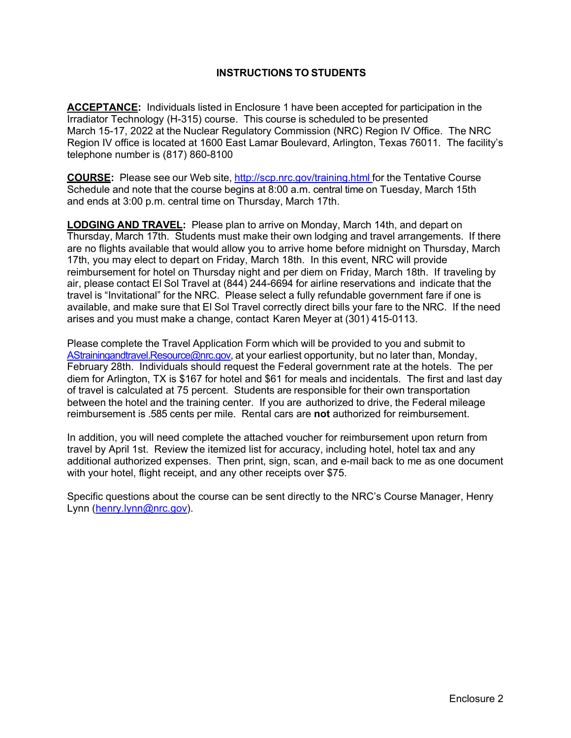# INSTRUCTIONS TO STUDENTS

ACCEPTANCE: Individuals listed in Enclosure 1 have been accepted for participation in the Irradiator Technology (H-315) course. This course is scheduled to be presented March 15-17, 2022 at the Nuclear Regulatory Commission (NRC) Region IV Office. The NRC Region IV office is located at 1600 East Lamar Boulevard, Arlington, Texas 76011. The facility's telephone number is (817) 860-8100

**COURSE:** Please see our Web site, http://scp.nrc.gov/training.html for the Tentative Course Schedule and note that the course begins at 8:00 a.m. central time on Tuesday, March 15th and ends at 3:00 p.m. central time on Thursday, March 17th.

**LODGING AND TRAVEL:** Please plan to arrive on Monday, March 14th, and depart on Thursday, March 17th. Students must make their own lodging and travel arrangements. If there are no flights available that would allow you to arrive home before midnight on Thursday, March 17th, you may elect to depart on Friday, March 18th. In this event, NRC will provide reimbursement for hotel on Thursday night and per diem on Friday, March 18th. If traveling by air, please contact El Sol Travel at (844) 244-6694 for airline reservations and indicate that the travel is "Invitational" for the NRC. Please select a fully refundable government fare if one is available, and make sure that El Sol Travel correctly direct bills your fare to the NRC. If the need arises and you must make a change, contact Karen Meyer at (301) 415-0113.

Please complete the Travel Application Form which will be provided to you and submit to AStrainingandtravel.Resource@nrc.gov, at your earliest opportunity, but no later than, Monday, February 28th. Individuals should request the Federal government rate at the hotels. The per diem for Arlington, TX is \$167 for hotel and \$61 for meals and incidentals. The first and last day of travel is calculated at 75 percent. Students are responsible for their own transportation between the hotel and the training center. If you are authorized to drive, the Federal mileage reimbursement is .585 cents per mile. Rental cars are not authorized for reimbursement.

In addition, you will need complete the attached voucher for reimbursement upon return from travel by April 1st. Review the itemized list for accuracy, including hotel, hotel tax and any additional authorized expenses. Then print, sign, scan, and e-mail back to me as one document with your hotel, flight receipt, and any other receipts over \$75.

Specific questions about the course can be sent directly to the NRC's Course Manager, Henry Lynn (henry.lynn@nrc.gov).